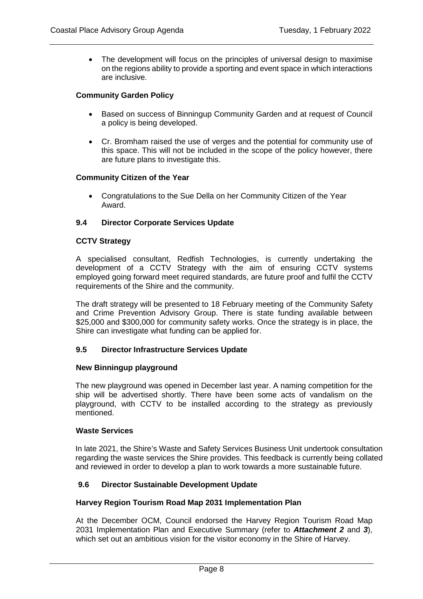• The development will focus on the principles of universal design to maximise on the regions ability to provide a sporting and event space in which interactions are inclusive.

# **Community Garden Policy**

- Based on success of Binningup Community Garden and at request of Council a policy is being developed.
- Cr. Bromham raised the use of verges and the potential for community use of this space. This will not be included in the scope of the policy however, there are future plans to investigate this.

# **Community Citizen of the Year**

• Congratulations to the Sue Della on her Community Citizen of the Year Award.

# **9.4 Director Corporate Services Update**

## **CCTV Strategy**

A specialised consultant, Redfish Technologies, is currently undertaking the development of a CCTV Strategy with the aim of ensuring CCTV systems employed going forward meet required standards, are future proof and fulfil the CCTV requirements of the Shire and the community.

The draft strategy will be presented to 18 February meeting of the Community Safety and Crime Prevention Advisory Group. There is state funding available between \$25,000 and \$300,000 for community safety works. Once the strategy is in place, the Shire can investigate what funding can be applied for.

### **9.5 Director Infrastructure Services Update**

### **New Binningup playground**

The new playground was opened in December last year. A naming competition for the ship will be advertised shortly. There have been some acts of vandalism on the playground, with CCTV to be installed according to the strategy as previously mentioned.

### **Waste Services**

In late 2021, the Shire's Waste and Safety Services Business Unit undertook consultation regarding the waste services the Shire provides. This feedback is currently being collated and reviewed in order to develop a plan to work towards a more sustainable future.

# **9.6 Director Sustainable Development Update**

### **Harvey Region Tourism Road Map 2031 Implementation Plan**

At the December OCM, Council endorsed the Harvey Region Tourism Road Map 2031 Implementation Plan and Executive Summary (refer to *Attachment 2* and *3*), which set out an ambitious vision for the visitor economy in the Shire of Harvey.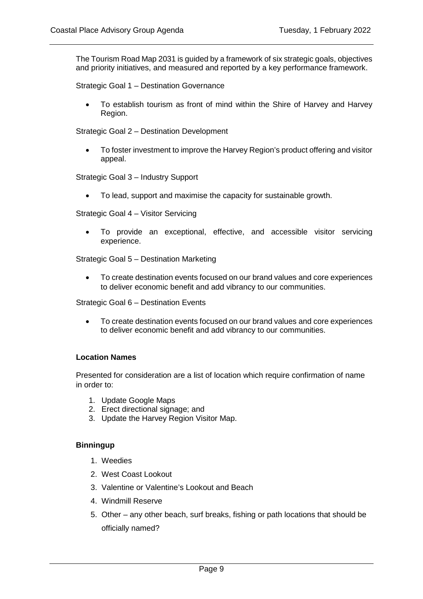The Tourism Road Map 2031 is guided by a framework of six strategic goals, objectives and priority initiatives, and measured and reported by a key performance framework.

Strategic Goal 1 – Destination Governance

• To establish tourism as front of mind within the Shire of Harvey and Harvey Region.

Strategic Goal 2 – Destination Development

• To foster investment to improve the Harvey Region's product offering and visitor appeal.

Strategic Goal 3 – Industry Support

• To lead, support and maximise the capacity for sustainable growth.

Strategic Goal 4 – Visitor Servicing

• To provide an exceptional, effective, and accessible visitor servicing experience.

Strategic Goal 5 – Destination Marketing

• To create destination events focused on our brand values and core experiences to deliver economic benefit and add vibrancy to our communities.

Strategic Goal 6 – Destination Events

• To create destination events focused on our brand values and core experiences to deliver economic benefit and add vibrancy to our communities.

# **Location Names**

Presented for consideration are a list of location which require confirmation of name in order to:

- 1. Update Google Maps
- 2. Erect directional signage; and
- 3. Update the Harvey Region Visitor Map.

### **Binningup**

- 1. Weedies
- 2. West Coast Lookout
- 3. Valentine or Valentine's Lookout and Beach
- 4. Windmill Reserve
- 5. Other any other beach, surf breaks, fishing or path locations that should be officially named?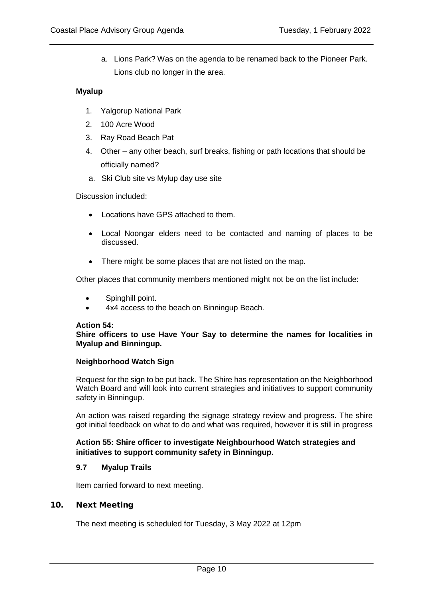a. Lions Park? Was on the agenda to be renamed back to the Pioneer Park. Lions club no longer in the area.

# **Myalup**

- 1. Yalgorup National Park
- 2. 100 Acre Wood
- 3. Ray Road Beach Pat
- 4. Other any other beach, surf breaks, fishing or path locations that should be officially named?
- a. Ski Club site vs Mylup day use site

Discussion included:

- Locations have GPS attached to them.
- Local Noongar elders need to be contacted and naming of places to be discussed.
- There might be some places that are not listed on the map.

Other places that community members mentioned might not be on the list include:

- Spinghill point.
- 4x4 access to the beach on Binningup Beach.

# **Action 54:**

## **Shire officers to use Have Your Say to determine the names for localities in Myalup and Binningup.**

# **Neighborhood Watch Sign**

Request for the sign to be put back. The Shire has representation on the Neighborhood Watch Board and will look into current strategies and initiatives to support community safety in Binningup.

An action was raised regarding the signage strategy review and progress. The Shire got initial feedback on what to do and what was required, however it is still in progress.

# **Action 55: Shire officer to investigate Neighbourhood Watch strategies and initiatives to support community safety in Binningup.**

# **9.7 Myalup Trails**

Item carried forward to next meeting.

# 10. Next Meeting

The next meeting is scheduled for Tuesday, 3 May 2022 at 12pm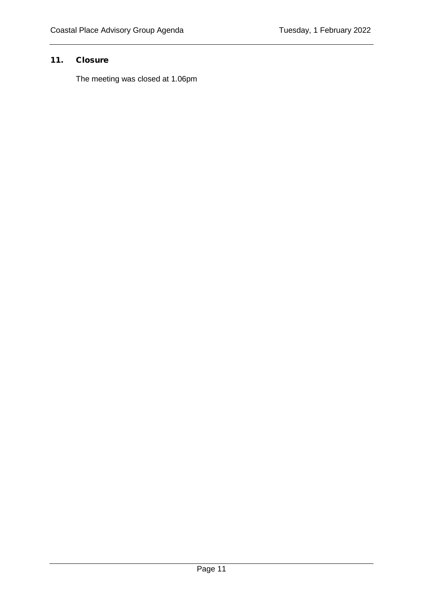# 11. Closure

The meeting was closed at 1.06pm